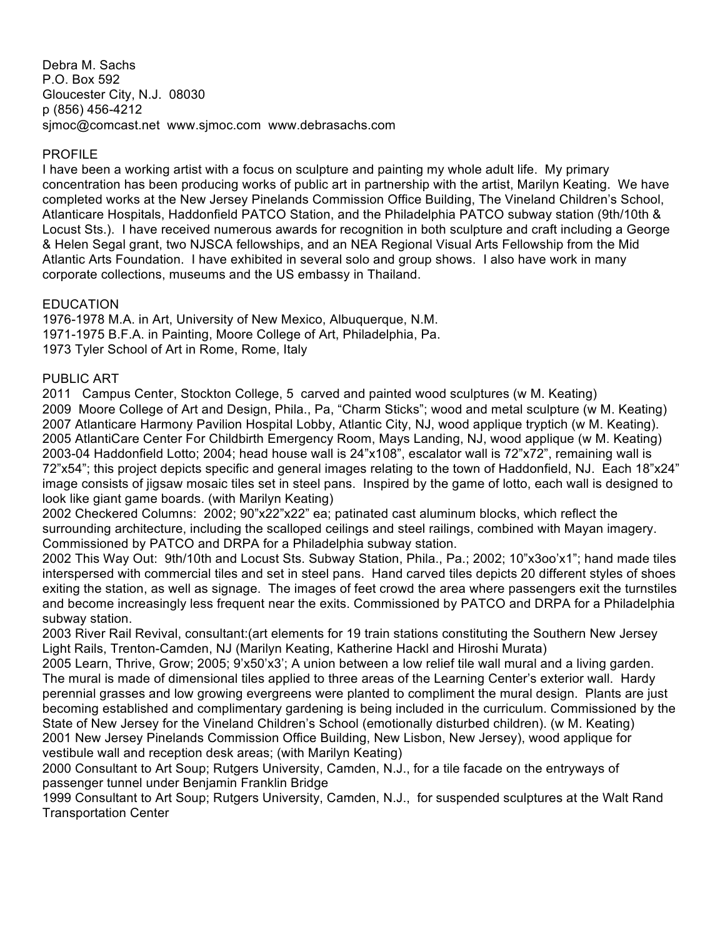Debra M. Sachs P.O. Box 592 Gloucester City, N.J. 08030 p (856) 456-4212 sjmoc@comcast.net www.sjmoc.com www.debrasachs.com

### PROFILE

I have been a working artist with a focus on sculpture and painting my whole adult life. My primary concentration has been producing works of public art in partnership with the artist, Marilyn Keating. We have completed works at the New Jersey Pinelands Commission Office Building, The Vineland Children's School, Atlanticare Hospitals, Haddonfield PATCO Station, and the Philadelphia PATCO subway station (9th/10th & Locust Sts.). I have received numerous awards for recognition in both sculpture and craft including a George & Helen Segal grant, two NJSCA fellowships, and an NEA Regional Visual Arts Fellowship from the Mid Atlantic Arts Foundation. I have exhibited in several solo and group shows. I also have work in many corporate collections, museums and the US embassy in Thailand.

# **EDUCATION**

1976-1978 M.A. in Art, University of New Mexico, Albuquerque, N.M. 1971-1975 B.F.A. in Painting, Moore College of Art, Philadelphia, Pa. 1973 Tyler School of Art in Rome, Rome, Italy

### PUBLIC ART

2011 Campus Center, Stockton College, 5 carved and painted wood sculptures (w M. Keating) 2009 Moore College of Art and Design, Phila., Pa, "Charm Sticks"; wood and metal sculpture (w M. Keating) 2007 Atlanticare Harmony Pavilion Hospital Lobby, Atlantic City, NJ, wood applique tryptich (w M. Keating). 2005 AtlantiCare Center For Childbirth Emergency Room, Mays Landing, NJ, wood applique (w M. Keating) 2003-04 Haddonfield Lotto; 2004; head house wall is 24"x108", escalator wall is 72"x72", remaining wall is 72"x54"; this project depicts specific and general images relating to the town of Haddonfield, NJ. Each 18"x24" image consists of jigsaw mosaic tiles set in steel pans. Inspired by the game of lotto, each wall is designed to look like giant game boards. (with Marilyn Keating)

2002 Checkered Columns: 2002; 90"x22"x22" ea; patinated cast aluminum blocks, which reflect the surrounding architecture, including the scalloped ceilings and steel railings, combined with Mayan imagery. Commissioned by PATCO and DRPA for a Philadelphia subway station.

2002 This Way Out: 9th/10th and Locust Sts. Subway Station, Phila., Pa.; 2002; 10"x3oo'x1"; hand made tiles interspersed with commercial tiles and set in steel pans. Hand carved tiles depicts 20 different styles of shoes exiting the station, as well as signage. The images of feet crowd the area where passengers exit the turnstiles and become increasingly less frequent near the exits. Commissioned by PATCO and DRPA for a Philadelphia subway station.

2003 River Rail Revival, consultant:(art elements for 19 train stations constituting the Southern New Jersey Light Rails, Trenton-Camden, NJ (Marilyn Keating, Katherine Hackl and Hiroshi Murata)

2005 Learn, Thrive, Grow; 2005; 9'x50'x3'; A union between a low relief tile wall mural and a living garden. The mural is made of dimensional tiles applied to three areas of the Learning Center's exterior wall. Hardy perennial grasses and low growing evergreens were planted to compliment the mural design. Plants are just becoming established and complimentary gardening is being included in the curriculum. Commissioned by the State of New Jersey for the Vineland Children's School (emotionally disturbed children). (w M. Keating) 2001 New Jersey Pinelands Commission Office Building, New Lisbon, New Jersey), wood applique for vestibule wall and reception desk areas; (with Marilyn Keating)

2000 Consultant to Art Soup; Rutgers University, Camden, N.J., for a tile facade on the entryways of passenger tunnel under Benjamin Franklin Bridge

1999 Consultant to Art Soup; Rutgers University, Camden, N.J., for suspended sculptures at the Walt Rand Transportation Center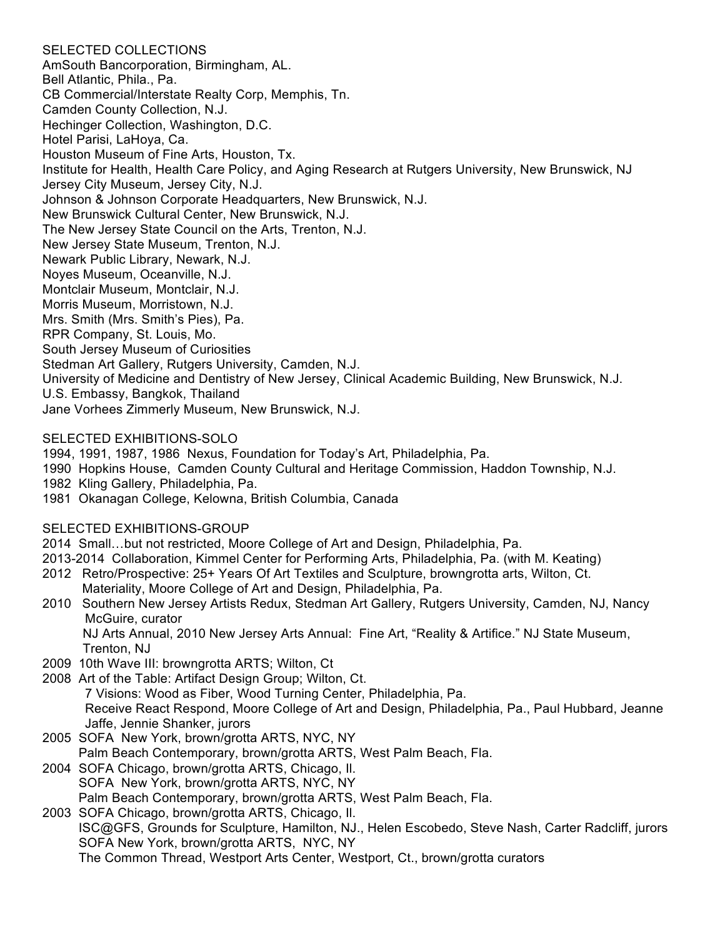### SELECTED COLLECTIONS

AmSouth Bancorporation, Birmingham, AL. Bell Atlantic, Phila., Pa. CB Commercial/Interstate Realty Corp, Memphis, Tn. Camden County Collection, N.J. Hechinger Collection, Washington, D.C. Hotel Parisi, LaHoya, Ca. Houston Museum of Fine Arts, Houston, Tx. Institute for Health, Health Care Policy, and Aging Research at Rutgers University, New Brunswick, NJ Jersey City Museum, Jersey City, N.J. Johnson & Johnson Corporate Headquarters, New Brunswick, N.J. New Brunswick Cultural Center, New Brunswick, N.J. The New Jersey State Council on the Arts, Trenton, N.J. New Jersey State Museum, Trenton, N.J. Newark Public Library, Newark, N.J. Noyes Museum, Oceanville, N.J. Montclair Museum, Montclair, N.J. Morris Museum, Morristown, N.J. Mrs. Smith (Mrs. Smith's Pies), Pa. RPR Company, St. Louis, Mo. South Jersey Museum of Curiosities Stedman Art Gallery, Rutgers University, Camden, N.J. University of Medicine and Dentistry of New Jersey, Clinical Academic Building, New Brunswick, N.J. U.S. Embassy, Bangkok, Thailand Jane Vorhees Zimmerly Museum, New Brunswick, N.J.

### SELECTED EXHIBITIONS-SOLO

1994, 1991, 1987, 1986 Nexus, Foundation for Today's Art, Philadelphia, Pa.

1990 Hopkins House, Camden County Cultural and Heritage Commission, Haddon Township, N.J.

1982 Kling Gallery, Philadelphia, Pa.

1981 Okanagan College, Kelowna, British Columbia, Canada

### SELECTED EXHIBITIONS-GROUP

- 2014 Small…but not restricted, Moore College of Art and Design, Philadelphia, Pa.
- 2013-2014 Collaboration, Kimmel Center for Performing Arts, Philadelphia, Pa. (with M. Keating)
- 2012 Retro/Prospective: 25+ Years Of Art Textiles and Sculpture, browngrotta arts, Wilton, Ct. Materiality, Moore College of Art and Design, Philadelphia, Pa.
- 2010 Southern New Jersey Artists Redux, Stedman Art Gallery, Rutgers University, Camden, NJ, Nancy McGuire, curator

NJ Arts Annual, 2010 New Jersey Arts Annual: Fine Art, "Reality & Artifice." NJ State Museum, Trenton, NJ

- 2009 10th Wave III: browngrotta ARTS; Wilton, Ct
- 2008 Art of the Table: Artifact Design Group; Wilton, Ct. 7 Visions: Wood as Fiber, Wood Turning Center, Philadelphia, Pa. Receive React Respond, Moore College of Art and Design, Philadelphia, Pa., Paul Hubbard, Jeanne Jaffe, Jennie Shanker, jurors
- 2005 SOFA New York, brown/grotta ARTS, NYC, NY Palm Beach Contemporary, brown/grotta ARTS, West Palm Beach, Fla.
- 2004 SOFA Chicago, brown/grotta ARTS, Chicago, Il. SOFA New York, brown/grotta ARTS, NYC, NY Palm Beach Contemporary, brown/grotta ARTS, West Palm Beach, Fla.

2003 SOFA Chicago, brown/grotta ARTS, Chicago, Il. ISC@GFS, Grounds for Sculpture, Hamilton, NJ., Helen Escobedo, Steve Nash, Carter Radcliff, jurors SOFA New York, brown/grotta ARTS, NYC, NY The Common Thread, Westport Arts Center, Westport, Ct., brown/grotta curators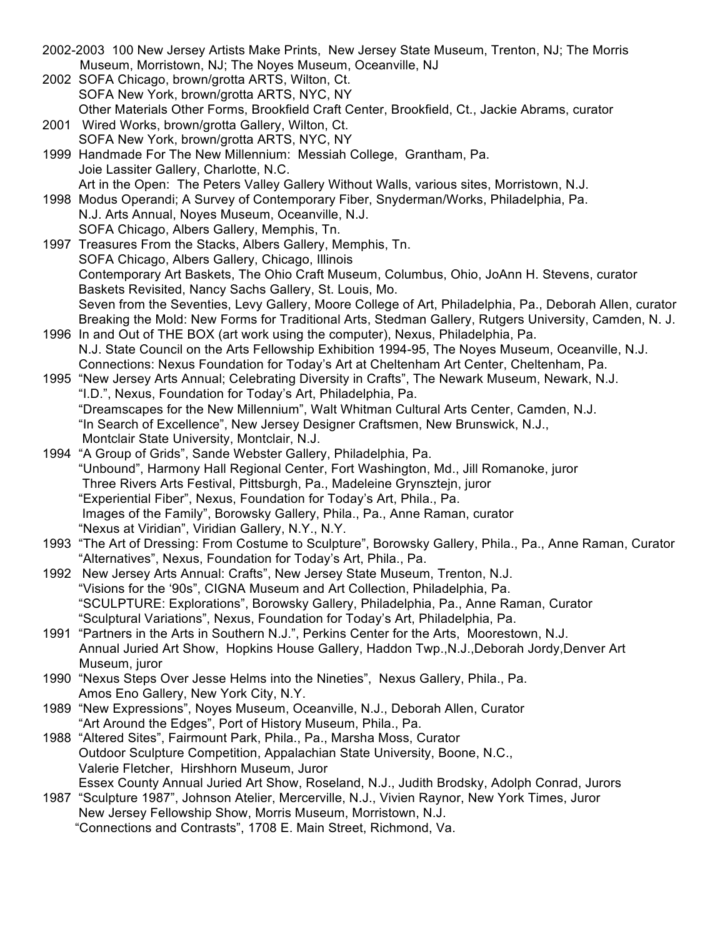2002-2003 100 New Jersey Artists Make Prints, New Jersey State Museum, Trenton, NJ; The Morris Museum, Morristown, NJ; The Noyes Museum, Oceanville, NJ 2002 SOFA Chicago, brown/grotta ARTS, Wilton, Ct. SOFA New York, brown/grotta ARTS, NYC, NY Other Materials Other Forms, Brookfield Craft Center, Brookfield, Ct., Jackie Abrams, curator 2001 Wired Works, brown/grotta Gallery, Wilton, Ct. SOFA New York, brown/grotta ARTS, NYC, NY 1999 Handmade For The New Millennium: Messiah College, Grantham, Pa. Joie Lassiter Gallery, Charlotte, N.C. Art in the Open: The Peters Valley Gallery Without Walls, various sites, Morristown, N.J. 1998 Modus Operandi; A Survey of Contemporary Fiber, Snyderman/Works, Philadelphia, Pa. N.J. Arts Annual, Noyes Museum, Oceanville, N.J. SOFA Chicago, Albers Gallery, Memphis, Tn. 1997 Treasures From the Stacks, Albers Gallery, Memphis, Tn. SOFA Chicago, Albers Gallery, Chicago, Illinois Contemporary Art Baskets, The Ohio Craft Museum, Columbus, Ohio, JoAnn H. Stevens, curator Baskets Revisited, Nancy Sachs Gallery, St. Louis, Mo. Seven from the Seventies, Levy Gallery, Moore College of Art, Philadelphia, Pa., Deborah Allen, curator Breaking the Mold: New Forms for Traditional Arts, Stedman Gallery, Rutgers University, Camden, N. J. 1996 In and Out of THE BOX (art work using the computer), Nexus, Philadelphia, Pa. N.J. State Council on the Arts Fellowship Exhibition 1994-95, The Noyes Museum, Oceanville, N.J. Connections: Nexus Foundation for Today's Art at Cheltenham Art Center, Cheltenham, Pa. 1995 "New Jersey Arts Annual; Celebrating Diversity in Crafts", The Newark Museum, Newark, N.J. "I.D.", Nexus, Foundation for Today's Art, Philadelphia, Pa. "Dreamscapes for the New Millennium", Walt Whitman Cultural Arts Center, Camden, N.J. "In Search of Excellence", New Jersey Designer Craftsmen, New Brunswick, N.J., Montclair State University, Montclair, N.J. 1994 "A Group of Grids", Sande Webster Gallery, Philadelphia, Pa. "Unbound", Harmony Hall Regional Center, Fort Washington, Md., Jill Romanoke, juror Three Rivers Arts Festival, Pittsburgh, Pa., Madeleine Grynsztejn, juror "Experiential Fiber", Nexus, Foundation for Today's Art, Phila., Pa. Images of the Family", Borowsky Gallery, Phila., Pa., Anne Raman, curator "Nexus at Viridian", Viridian Gallery, N.Y., N.Y. 1993 "The Art of Dressing: From Costume to Sculpture", Borowsky Gallery, Phila., Pa., Anne Raman, Curator "Alternatives", Nexus, Foundation for Today's Art, Phila., Pa. 1992 New Jersey Arts Annual: Crafts", New Jersey State Museum, Trenton, N.J. "Visions for the '90s", CIGNA Museum and Art Collection, Philadelphia, Pa. "SCULPTURE: Explorations", Borowsky Gallery, Philadelphia, Pa., Anne Raman, Curator "Sculptural Variations", Nexus, Foundation for Today's Art, Philadelphia, Pa. 1991 "Partners in the Arts in Southern N.J.", Perkins Center for the Arts, Moorestown, N.J. Annual Juried Art Show, Hopkins House Gallery, Haddon Twp.,N.J.,Deborah Jordy,Denver Art Museum, juror 1990 "Nexus Steps Over Jesse Helms into the Nineties", Nexus Gallery, Phila., Pa. Amos Eno Gallery, New York City, N.Y. 1989 "New Expressions", Noyes Museum, Oceanville, N.J., Deborah Allen, Curator "Art Around the Edges", Port of History Museum, Phila., Pa. 1988 "Altered Sites", Fairmount Park, Phila., Pa., Marsha Moss, Curator Outdoor Sculpture Competition, Appalachian State University, Boone, N.C., Valerie Fletcher, Hirshhorn Museum, Juror Essex County Annual Juried Art Show, Roseland, N.J., Judith Brodsky, Adolph Conrad, Jurors 1987 "Sculpture 1987", Johnson Atelier, Mercerville, N.J., Vivien Raynor, New York Times, Juror New Jersey Fellowship Show, Morris Museum, Morristown, N.J. "Connections and Contrasts", 1708 E. Main Street, Richmond, Va.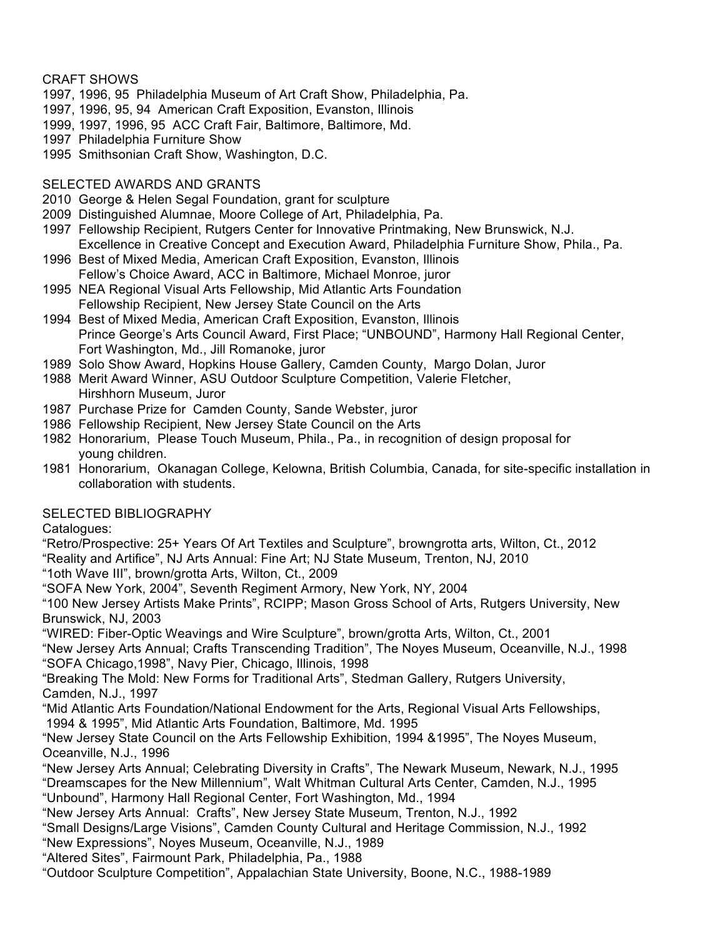### CRAFT SHOWS

- 1997, 1996, 95 Philadelphia Museum of Art Craft Show, Philadelphia, Pa.
- 1997, 1996, 95, 94 American Craft Exposition, Evanston, Illinois
- 1999, 1997, 1996, 95 ACC Craft Fair, Baltimore, Baltimore, Md.
- 1997 Philadelphia Furniture Show
- 1995 Smithsonian Craft Show, Washington, D.C.

# SELECTED AWARDS AND GRANTS

- 2010 George & Helen Segal Foundation, grant for sculpture
- 2009 Distinguished Alumnae, Moore College of Art, Philadelphia, Pa.
- 1997 Fellowship Recipient, Rutgers Center for Innovative Printmaking, New Brunswick, N.J. Excellence in Creative Concept and Execution Award, Philadelphia Furniture Show, Phila., Pa.
- 1996 Best of Mixed Media, American Craft Exposition, Evanston, Illinois Fellow's Choice Award, ACC in Baltimore, Michael Monroe, juror
- 1995 NEA Regional Visual Arts Fellowship, Mid Atlantic Arts Foundation Fellowship Recipient, New Jersey State Council on the Arts
- 1994 Best of Mixed Media, American Craft Exposition, Evanston, Illinois Prince George's Arts Council Award, First Place; "UNBOUND", Harmony Hall Regional Center, Fort Washington, Md., Jill Romanoke, juror
- 1989 Solo Show Award, Hopkins House Gallery, Camden County, Margo Dolan, Juror
- 1988 Merit Award Winner, ASU Outdoor Sculpture Competition, Valerie Fletcher, Hirshhorn Museum, Juror
- 1987 Purchase Prize for Camden County, Sande Webster, juror
- 1986 Fellowship Recipient, New Jersey State Council on the Arts
- 1982 Honorarium, Please Touch Museum, Phila., Pa., in recognition of design proposal for young children.
- 1981 Honorarium, Okanagan College, Kelowna, British Columbia, Canada, for site-specific installation in collaboration with students.

# SELECTED BIBLIOGRAPHY

Catalogues:

"Retro/Prospective: 25+ Years Of Art Textiles and Sculpture", browngrotta arts, Wilton, Ct., 2012

- "Reality and Artifice", NJ Arts Annual: Fine Art; NJ State Museum, Trenton, NJ, 2010
- "1oth Wave III", brown/grotta Arts, Wilton, Ct., 2009
- "SOFA New York, 2004", Seventh Regiment Armory, New York, NY, 2004

"100 New Jersey Artists Make Prints", RCIPP; Mason Gross School of Arts, Rutgers University, New Brunswick, NJ, 2003

"WIRED: Fiber-Optic Weavings and Wire Sculpture", brown/grotta Arts, Wilton, Ct., 2001

"New Jersey Arts Annual; Crafts Transcending Tradition", The Noyes Museum, Oceanville, N.J., 1998 "SOFA Chicago,1998", Navy Pier, Chicago, Illinois, 1998

"Breaking The Mold: New Forms for Traditional Arts", Stedman Gallery, Rutgers University, Camden, N.J., 1997

"Mid Atlantic Arts Foundation/National Endowment for the Arts, Regional Visual Arts Fellowships, 1994 & 1995", Mid Atlantic Arts Foundation, Baltimore, Md. 1995

"New Jersey State Council on the Arts Fellowship Exhibition, 1994 &1995", The Noyes Museum, Oceanville, N.J., 1996

"New Jersey Arts Annual; Celebrating Diversity in Crafts", The Newark Museum, Newark, N.J., 1995 "Dreamscapes for the New Millennium", Walt Whitman Cultural Arts Center, Camden, N.J., 1995 "Unbound", Harmony Hall Regional Center, Fort Washington, Md., 1994

"New Jersey Arts Annual: Crafts", New Jersey State Museum, Trenton, N.J., 1992

"Small Designs/Large Visions", Camden County Cultural and Heritage Commission, N.J., 1992

- "New Expressions", Noyes Museum, Oceanville, N.J., 1989
- "Altered Sites", Fairmount Park, Philadelphia, Pa., 1988

"Outdoor Sculpture Competition", Appalachian State University, Boone, N.C., 1988-1989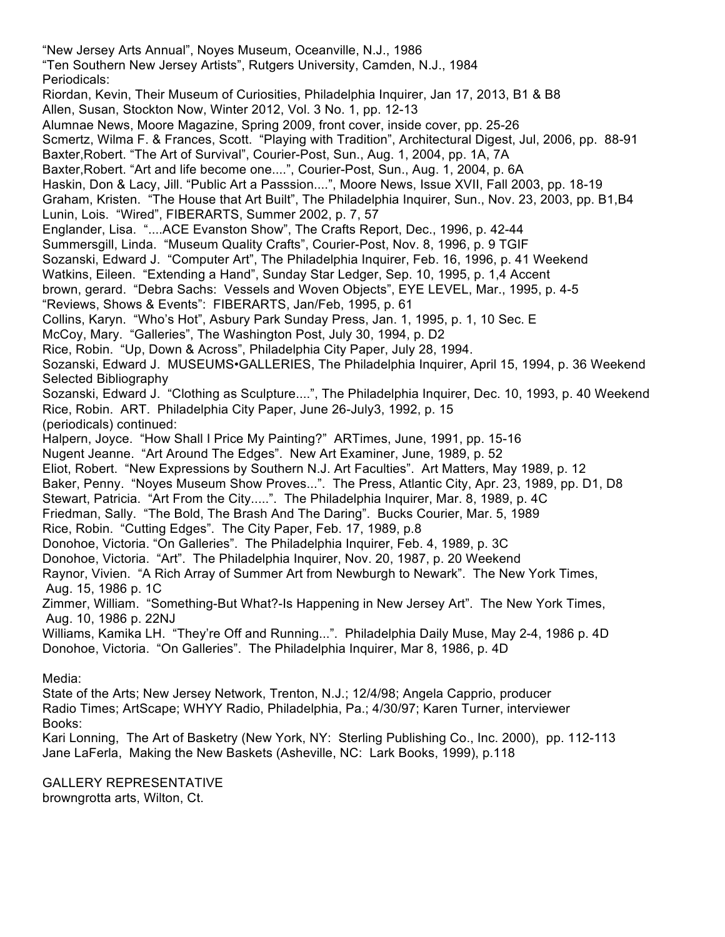"New Jersey Arts Annual", Noyes Museum, Oceanville, N.J., 1986 "Ten Southern New Jersey Artists", Rutgers University, Camden, N.J., 1984 Periodicals: Riordan, Kevin, Their Museum of Curiosities, Philadelphia Inquirer, Jan 17, 2013, B1 & B8 Allen, Susan, Stockton Now, Winter 2012, Vol. 3 No. 1, pp. 12-13 Alumnae News, Moore Magazine, Spring 2009, front cover, inside cover, pp. 25-26 Scmertz, Wilma F. & Frances, Scott. "Playing with Tradition", Architectural Digest, Jul, 2006, pp. 88-91 Baxter,Robert. "The Art of Survival", Courier-Post, Sun., Aug. 1, 2004, pp. 1A, 7A Baxter,Robert. "Art and life become one....", Courier-Post, Sun., Aug. 1, 2004, p. 6A Haskin, Don & Lacy, Jill. "Public Art a Passsion....", Moore News, Issue XVII, Fall 2003, pp. 18-19 Graham, Kristen. "The House that Art Built", The Philadelphia Inquirer, Sun., Nov. 23, 2003, pp. B1,B4 Lunin, Lois. "Wired", FIBERARTS, Summer 2002, p. 7, 57 Englander, Lisa. "....ACE Evanston Show", The Crafts Report, Dec., 1996, p. 42-44 Summersgill, Linda. "Museum Quality Crafts", Courier-Post, Nov. 8, 1996, p. 9 TGIF Sozanski, Edward J. "Computer Art", The Philadelphia Inquirer, Feb. 16, 1996, p. 41 Weekend Watkins, Eileen. "Extending a Hand", Sunday Star Ledger, Sep. 10, 1995, p. 1,4 Accent brown, gerard. "Debra Sachs: Vessels and Woven Objects", EYE LEVEL, Mar., 1995, p. 4-5 "Reviews, Shows & Events": FIBERARTS, Jan/Feb, 1995, p. 61 Collins, Karyn. "Who's Hot", Asbury Park Sunday Press, Jan. 1, 1995, p. 1, 10 Sec. E McCoy, Mary. "Galleries", The Washington Post, July 30, 1994, p. D2 Rice, Robin. "Up, Down & Across", Philadelphia City Paper, July 28, 1994. Sozanski, Edward J. MUSEUMS•GALLERIES, The Philadelphia Inquirer, April 15, 1994, p. 36 Weekend Selected Bibliography Sozanski, Edward J. "Clothing as Sculpture....", The Philadelphia Inquirer, Dec. 10, 1993, p. 40 Weekend Rice, Robin. ART. Philadelphia City Paper, June 26-July3, 1992, p. 15 (periodicals) continued: Halpern, Joyce. "How Shall I Price My Painting?" ARTimes, June, 1991, pp. 15-16 Nugent Jeanne. "Art Around The Edges". New Art Examiner, June, 1989, p. 52 Eliot, Robert. "New Expressions by Southern N.J. Art Faculties". Art Matters, May 1989, p. 12 Baker, Penny. "Noyes Museum Show Proves...". The Press, Atlantic City, Apr. 23, 1989, pp. D1, D8 Stewart, Patricia. "Art From the City.....". The Philadelphia Inquirer, Mar. 8, 1989, p. 4C Friedman, Sally. "The Bold, The Brash And The Daring". Bucks Courier, Mar. 5, 1989 Rice, Robin. "Cutting Edges". The City Paper, Feb. 17, 1989, p.8 Donohoe, Victoria. "On Galleries". The Philadelphia Inquirer, Feb. 4, 1989, p. 3C Donohoe, Victoria. "Art". The Philadelphia Inquirer, Nov. 20, 1987, p. 20 Weekend Raynor, Vivien. "A Rich Array of Summer Art from Newburgh to Newark". The New York Times, Aug. 15, 1986 p. 1C Zimmer, William. "Something-But What?-Is Happening in New Jersey Art". The New York Times, Aug. 10, 1986 p. 22NJ Williams, Kamika LH. "They're Off and Running...". Philadelphia Daily Muse, May 2-4, 1986 p. 4D Donohoe, Victoria. "On Galleries". The Philadelphia Inquirer, Mar 8, 1986, p. 4D Media: State of the Arts; New Jersey Network, Trenton, N.J.; 12/4/98; Angela Capprio, producer Radio Times; ArtScape; WHYY Radio, Philadelphia, Pa.; 4/30/97; Karen Turner, interviewer Books:

Kari Lonning, The Art of Basketry (New York, NY: Sterling Publishing Co., Inc. 2000), pp. 112-113 Jane LaFerla, Making the New Baskets (Asheville, NC: Lark Books, 1999), p.118

GALLERY REPRESENTATIVE browngrotta arts, Wilton, Ct.